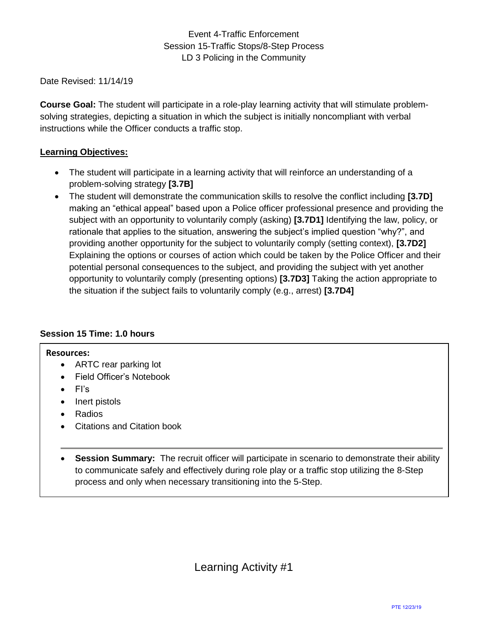Date Revised: 11/14/19

**Course Goal:** The student will participate in a role-play learning activity that will stimulate problemsolving strategies, depicting a situation in which the subject is initially noncompliant with verbal instructions while the Officer conducts a traffic stop.

## **Learning Objectives:**

- The student will participate in a learning activity that will reinforce an understanding of a problem-solving strategy **[3.7B]**
- The student will demonstrate the communication skills to resolve the conflict including **[3.7D]**  making an "ethical appeal" based upon a Police officer professional presence and providing the subject with an opportunity to voluntarily comply (asking) **[3.7D1]** Identifying the law, policy, or rationale that applies to the situation, answering the subject's implied question "why?", and providing another opportunity for the subject to voluntarily comply (setting context), **[3.7D2]**  Explaining the options or courses of action which could be taken by the Police Officer and their potential personal consequences to the subject, and providing the subject with yet another opportunity to voluntarily comply (presenting options) **[3.7D3]** Taking the action appropriate to the situation if the subject fails to voluntarily comply (e.g., arrest) **[3.7D4]**

## **Session 15 Time: 1.0 hours**

## **Resources:**

- ARTC rear parking lot
- Field Officer's Notebook
- FI's
- Inert pistols
- Radios
- Citations and Citation book
- **Session Summary:** The recruit officer will participate in scenario to demonstrate their ability to communicate safely and effectively during role play or a traffic stop utilizing the 8-Step process and only when necessary transitioning into the 5-Step.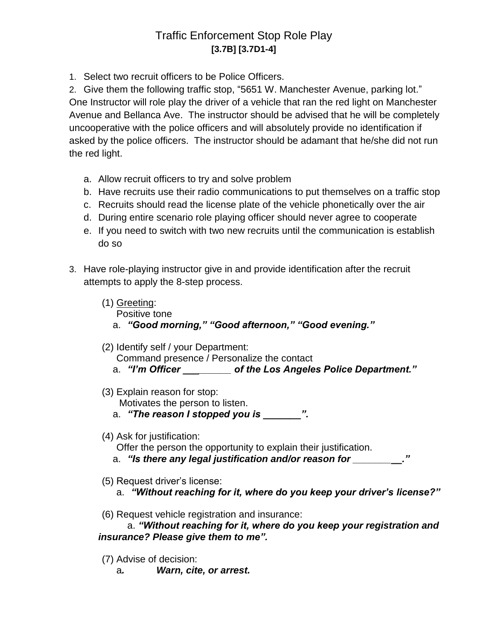## Traffic Enforcement Stop Role Play **[3.7B] [3.7D1-4]**

1. Select two recruit officers to be Police Officers.

2. Give them the following traffic stop, "5651 W. Manchester Avenue, parking lot." One Instructor will role play the driver of a vehicle that ran the red light on Manchester Avenue and Bellanca Ave. The instructor should be advised that he will be completely uncooperative with the police officers and will absolutely provide no identification if asked by the police officers. The instructor should be adamant that he/she did not run the red light.

- a. Allow recruit officers to try and solve problem
- b. Have recruits use their radio communications to put themselves on a traffic stop
- c. Recruits should read the license plate of the vehicle phonetically over the air
- d. During entire scenario role playing officer should never agree to cooperate
- e. If you need to switch with two new recruits until the communication is establish do so
- 3. Have role-playing instructor give in and provide identification after the recruit attempts to apply the 8-step process.
	- (1) Greeting:

Positive tone

- a. *"Good morning," "Good afternoon," "Good evening."*
- (2) Identify self / your Department: Command presence / Personalize the contact a. *"I'm Officer \_\_\_\_\_\_\_\_\_ of the Los Angeles Police Department."*
- (3) Explain reason for stop: Motivates the person to listen.
	- a. "The reason I stopped you is  $\blacksquare$ ".
- (4) Ask for justification:
	- Offer the person the opportunity to explain their justification.
	- a. *"Is there any legal justification and/or reason for \_\_\_\_\_\_\_\_\_."*
- (5) Request driver's license:
	- a. *"Without reaching for it, where do you keep your driver's license?"*
- (6) Request vehicle registration and insurance:

a. *"Without reaching for it, where do you keep your registration and insurance? Please give them to me".*

- (7) Advise of decision:
	- a*. Warn, cite, or arrest.*